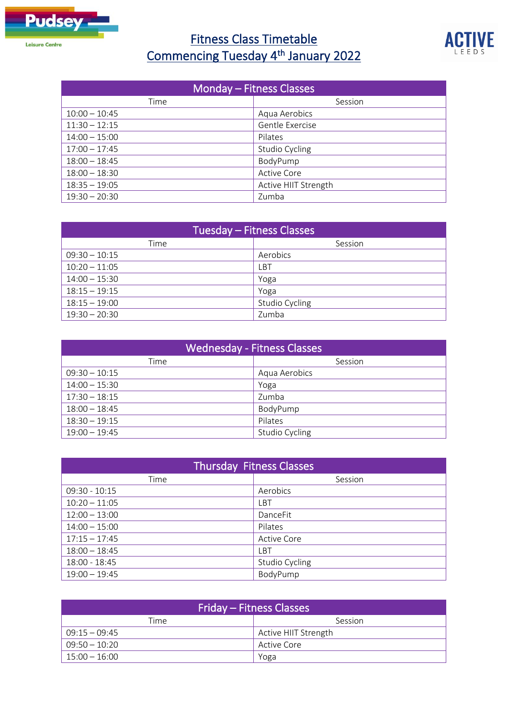

## Fitness Class Timetable Commencing Tuesday 4<sup>th</sup> January 2022



| Monday – Fitness Classes |                      |
|--------------------------|----------------------|
| Time                     | Session              |
| $10:00 - 10:45$          | Aqua Aerobics        |
| $11:30 - 12:15$          | Gentle Exercise      |
| $14:00 - 15:00$          | Pilates              |
| $17:00 - 17:45$          | Studio Cycling       |
| $18:00 - 18:45$          | BodyPump             |
| $18:00 - 18:30$          | <b>Active Core</b>   |
| $18:35 - 19:05$          | Active HIIT Strength |
| $19:30 - 20:30$          | Zumba                |

| Tuesday – Fitness Classes |                |
|---------------------------|----------------|
| Time                      | Session        |
| $09:30 - 10:15$           | Aerobics       |
| $10:20 - 11:05$           | ∟BT            |
| $14:00 - 15:30$           | Yoga           |
| $18:15 - 19:15$           | Yoga           |
| $18:15 - 19:00$           | Studio Cycling |
| $19:30 - 20:30$           | Zumba          |

| <b>Wednesday - Fitness Classes</b> |                |
|------------------------------------|----------------|
| Time                               | Session        |
| $09:30 - 10:15$                    | Aqua Aerobics  |
| $14:00 - 15:30$                    | Yoga           |
| $17:30 - 18:15$                    | Zumba          |
| $18:00 - 18:45$                    | BodyPump       |
| $18:30 - 19:15$                    | Pilates        |
| $19:00 - 19:45$                    | Studio Cycling |

| <b>Thursday Fitness Classes</b> |                    |
|---------------------------------|--------------------|
| Time                            | Session            |
| $09:30 - 10:15$                 | Aerobics           |
| $10:20 - 11:05$                 | ιBT                |
| $12:00 - 13:00$                 | DanceFit           |
| $14:00 - 15:00$                 | Pilates            |
| $17:15 - 17:45$                 | <b>Active Core</b> |
| $18:00 - 18:45$                 | <b>LBT</b>         |
| 18:00 - 18:45                   | Studio Cycling     |
| $19:00 - 19:45$                 | BodyPump           |

| Friday – Fitness Classes |                      |
|--------------------------|----------------------|
| Time                     | Session              |
| $09:15 - 09:45$          | Active HIIT Strength |
| $09:50 - 10:20$          | Active Core          |
| $15:00 - 16:00$          | Yoga                 |